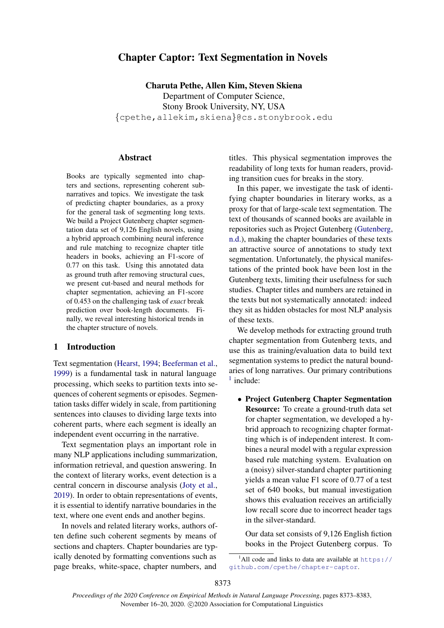# Chapter Captor: Text Segmentation in Novels

Charuta Pethe, Allen Kim, Steven Skiena Department of Computer Science, Stony Brook University, NY, USA {cpethe,allekim,skiena}@cs.stonybrook.edu

# **Abstract**

Books are typically segmented into chapters and sections, representing coherent subnarratives and topics. We investigate the task of predicting chapter boundaries, as a proxy for the general task of segmenting long texts. We build a Project Gutenberg chapter segmentation data set of 9,126 English novels, using a hybrid approach combining neural inference and rule matching to recognize chapter title headers in books, achieving an F1-score of 0.77 on this task. Using this annotated data as ground truth after removing structural cues, we present cut-based and neural methods for chapter segmentation, achieving an F1-score of 0.453 on the challenging task of *exact* break prediction over book-length documents. Finally, we reveal interesting historical trends in the chapter structure of novels.

# 1 Introduction

Text segmentation [\(Hearst,](#page-9-0) [1994;](#page-9-0) [Beeferman et al.,](#page-9-1) [1999\)](#page-9-1) is a fundamental task in natural language processing, which seeks to partition texts into sequences of coherent segments or episodes. Segmentation tasks differ widely in scale, from partitioning sentences into clauses to dividing large texts into coherent parts, where each segment is ideally an independent event occurring in the narrative.

Text segmentation plays an important role in many NLP applications including summarization, information retrieval, and question answering. In the context of literary works, event detection is a central concern in discourse analysis [\(Joty et al.,](#page-9-2) [2019\)](#page-9-2). In order to obtain representations of events, it is essential to identify narrative boundaries in the text, where one event ends and another begins.

In novels and related literary works, authors often define such coherent segments by means of sections and chapters. Chapter boundaries are typically denoted by formatting conventions such as page breaks, white-space, chapter numbers, and

titles. This physical segmentation improves the readability of long texts for human readers, providing transition cues for breaks in the story.

In this paper, we investigate the task of identifying chapter boundaries in literary works, as a proxy for that of large-scale text segmentation. The text of thousands of scanned books are available in repositories such as Project Gutenberg [\(Gutenberg,](#page-9-3) [n.d.\)](#page-9-3), making the chapter boundaries of these texts an attractive source of annotations to study text segmentation. Unfortunately, the physical manifestations of the printed book have been lost in the Gutenberg texts, limiting their usefulness for such studies. Chapter titles and numbers are retained in the texts but not systematically annotated: indeed they sit as hidden obstacles for most NLP analysis of these texts.

We develop methods for extracting ground truth chapter segmentation from Gutenberg texts, and use this as training/evaluation data to build text segmentation systems to predict the natural boundaries of long narratives. Our primary contributions <sup>[1](#page-0-0)</sup> include:

• Project Gutenberg Chapter Segmentation Resource: To create a ground-truth data set for chapter segmentation, we developed a hybrid approach to recognizing chapter formatting which is of independent interest. It combines a neural model with a regular expression based rule matching system. Evaluation on a (noisy) silver-standard chapter partitioning yields a mean value F1 score of 0.77 of a test set of 640 books, but manual investigation shows this evaluation receives an artificially low recall score due to incorrect header tags in the silver-standard.

Our data set consists of 9,126 English fiction books in the Project Gutenberg corpus. To

<span id="page-0-0"></span><sup>&</sup>lt;sup>1</sup>All code and links to data are available at  $h$ ttps:// [github.com/cpethe/chapter-captor](https://github.com/cpethe/chapter-captor).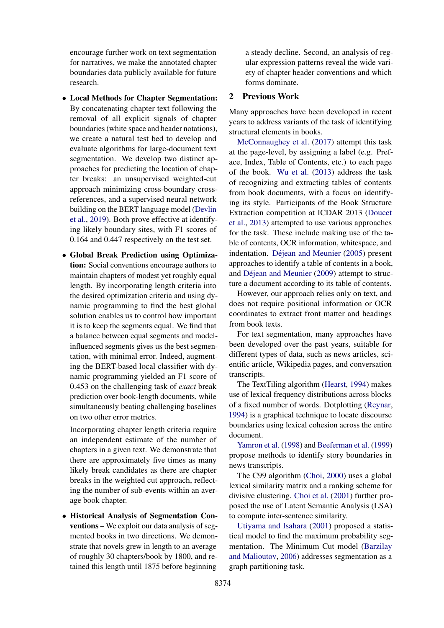encourage further work on text segmentation for narratives, we make the annotated chapter boundaries data publicly available for future research.

- Local Methods for Chapter Segmentation: By concatenating chapter text following the removal of all explicit signals of chapter boundaries (white space and header notations), we create a natural test bed to develop and evaluate algorithms for large-document text segmentation. We develop two distinct approaches for predicting the location of chapter breaks: an unsupervised weighted-cut approach minimizing cross-boundary crossreferences, and a supervised neural network building on the BERT language model [\(Devlin](#page-9-4) [et al.,](#page-9-4) [2019\)](#page-9-4). Both prove effective at identifying likely boundary sites, with F1 scores of 0.164 and 0.447 respectively on the test set.
- Global Break Prediction using Optimization: Social conventions encourage authors to maintain chapters of modest yet roughly equal length. By incorporating length criteria into the desired optimization criteria and using dynamic programming to find the best global solution enables us to control how important it is to keep the segments equal. We find that a balance between equal segments and modelinfluenced segments gives us the best segmentation, with minimal error. Indeed, augmenting the BERT-based local classifier with dynamic programming yielded an F1 score of 0.453 on the challenging task of *exact* break prediction over book-length documents, while simultaneously beating challenging baselines on two other error metrics.

Incorporating chapter length criteria require an independent estimate of the number of chapters in a given text. We demonstrate that there are approximately five times as many likely break candidates as there are chapter breaks in the weighted cut approach, reflecting the number of sub-events within an average book chapter.

• Historical Analysis of Segmentation Conventions – We exploit our data analysis of segmented books in two directions. We demonstrate that novels grew in length to an average of roughly 30 chapters/book by 1800, and retained this length until 1875 before beginning

a steady decline. Second, an analysis of regular expression patterns reveal the wide variety of chapter header conventions and which forms dominate.

### 2 Previous Work

Many approaches have been developed in recent years to address variants of the task of identifying structural elements in books.

[McConnaughey et al.](#page-9-5) [\(2017\)](#page-9-5) attempt this task at the page-level, by assigning a label (e.g. Preface, Index, Table of Contents, etc.) to each page of the book. [Wu et al.](#page-10-0) [\(2013\)](#page-10-0) address the task of recognizing and extracting tables of contents from book documents, with a focus on identifying its style. Participants of the Book Structure Extraction competition at ICDAR 2013 [\(Doucet](#page-9-6) [et al.,](#page-9-6) [2013\)](#page-9-6) attempted to use various approaches for the task. These include making use of the table of contents, OCR information, whitespace, and indentation. Déjean and Meunier [\(2005\)](#page-9-7) present approaches to identify a table of contents in a book, and Déjean and Meunier  $(2009)$  attempt to structure a document according to its table of contents.

However, our approach relies only on text, and does not require positional information or OCR coordinates to extract front matter and headings from book texts.

For text segmentation, many approaches have been developed over the past years, suitable for different types of data, such as news articles, scientific article, Wikipedia pages, and conversation transcripts.

The TextTiling algorithm [\(Hearst,](#page-9-0) [1994\)](#page-9-0) makes use of lexical frequency distributions across blocks of a fixed number of words. Dotplotting [\(Reynar,](#page-10-1) [1994\)](#page-10-1) is a graphical technique to locate discourse boundaries using lexical cohesion across the entire document.

[Yamron et al.](#page-10-2) [\(1998\)](#page-10-2) and [Beeferman et al.](#page-9-1) [\(1999\)](#page-9-1) propose methods to identify story boundaries in news transcripts.

The C99 algorithm [\(Choi,](#page-9-9) [2000\)](#page-9-9) uses a global lexical similarity matrix and a ranking scheme for divisive clustering. [Choi et al.](#page-9-10) [\(2001\)](#page-9-10) further proposed the use of Latent Semantic Analysis (LSA) to compute inter-sentence similarity.

[Utiyama and Isahara](#page-10-3) [\(2001\)](#page-10-3) proposed a statistical model to find the maximum probability segmentation. The Minimum Cut model [\(Barzilay](#page-9-11) [and Malioutov,](#page-9-11) [2006\)](#page-9-11) addresses segmentation as a graph partitioning task.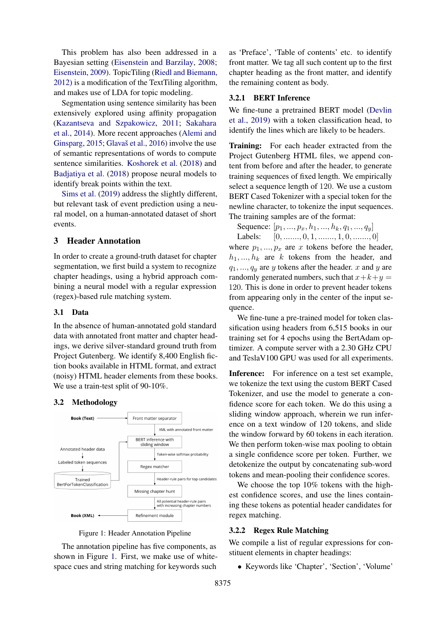This problem has also been addressed in a Bayesian setting [\(Eisenstein and Barzilay,](#page-9-12) [2008;](#page-9-12) [Eisenstein,](#page-9-13) [2009\)](#page-9-13). TopicTiling [\(Riedl and Biemann,](#page-10-4) [2012\)](#page-10-4) is a modification of the TextTiling algorithm, and makes use of LDA for topic modeling.

Segmentation using sentence similarity has been extensively explored using affinity propagation [\(Kazantseva and Szpakowicz,](#page-9-14) [2011;](#page-9-14) [Sakahara](#page-10-5) [et al.,](#page-10-5) [2014\)](#page-10-5). More recent approaches [\(Alemi and](#page-9-15) [Ginsparg,](#page-9-15)  $2015$ ; Glavaš et al.,  $2016$ ) involve the use of semantic representations of words to compute sentence similarities. [Koshorek et al.](#page-9-17) [\(2018\)](#page-9-17) and [Badjatiya et al.](#page-9-18) [\(2018\)](#page-9-18) propose neural models to identify break points within the text.

[Sims et al.](#page-10-6) [\(2019\)](#page-10-6) address the slightly different, but relevant task of event prediction using a neural model, on a human-annotated dataset of short events.

# 3 Header Annotation

In order to create a ground-truth dataset for chapter segmentation, we first build a system to recognize chapter headings, using a hybrid approach combining a neural model with a regular expression (regex)-based rule matching system.

### 3.1 Data

In the absence of human-annotated gold standard data with annotated front matter and chapter headings, we derive silver-standard ground truth from Project Gutenberg. We identify 8,400 English fiction books available in HTML format, and extract (noisy) HTML header elements from these books. We use a train-test split of 90-10%.

#### 3.2 Methodology

<span id="page-2-0"></span>

Figure 1: Header Annotation Pipeline

The annotation pipeline has five components, as shown in Figure [1.](#page-2-0) First, we make use of whitespace cues and string matching for keywords such as 'Preface', 'Table of contents' etc. to identify front matter. We tag all such content up to the first chapter heading as the front matter, and identify the remaining content as body.

#### 3.2.1 BERT Inference

We fine-tune a pretrained BERT model [\(Devlin](#page-9-4) [et al.,](#page-9-4) [2019\)](#page-9-4) with a token classification head, to identify the lines which are likely to be headers.

Training: For each header extracted from the Project Gutenberg HTML files, we append content from before and after the header, to generate training sequences of fixed length. We empirically select a sequence length of 120. We use a custom BERT Cased Tokenizer with a special token for the newline character, to tokenize the input sequences. The training samples are of the format:

Sequence:  $[p_1, ..., p_x, h_1, ..., h_k, q_1, ..., q_u]$ 

Labels:  $[0, \ldots, 0, 1, \ldots, 1, 0, \ldots, 0]$ where  $p_1, ..., p_x$  are x tokens before the header,  $h_1, ..., h_k$  are k tokens from the header, and  $q_1, \ldots, q_y$  are y tokens after the header. x and y are randomly generated numbers, such that  $x+k+y=$ 120. This is done in order to prevent header tokens from appearing only in the center of the input sequence.

We fine-tune a pre-trained model for token classification using headers from 6,515 books in our training set for 4 epochs using the BertAdam optimizer. A compute server with a 2.30 GHz CPU and TeslaV100 GPU was used for all experiments.

Inference: For inference on a test set example, we tokenize the text using the custom BERT Cased Tokenizer, and use the model to generate a confidence score for each token. We do this using a sliding window approach, wherein we run inference on a text window of 120 tokens, and slide the window forward by 60 tokens in each iteration. We then perform token-wise max pooling to obtain a single confidence score per token. Further, we detokenize the output by concatenating sub-word tokens and mean-pooling their confidence scores.

We choose the top 10% tokens with the highest confidence scores, and use the lines containing these tokens as potential header candidates for regex matching.

#### 3.2.2 Regex Rule Matching

We compile a list of regular expressions for constituent elements in chapter headings:

• Keywords like 'Chapter', 'Section', 'Volume'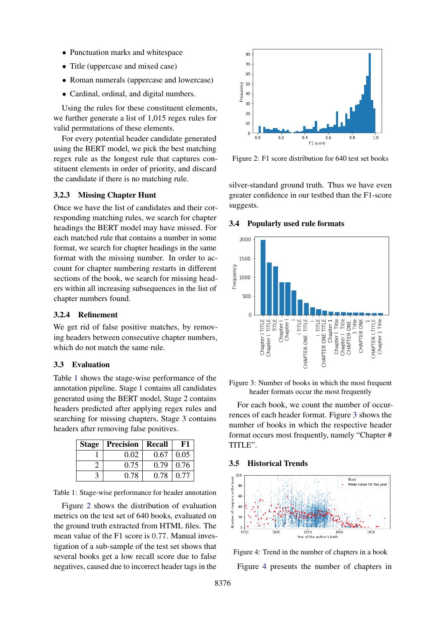- Punctuation marks and whitespace
- Title (uppercase and mixed case)
- Roman numerals (uppercase and lowercase)
- Cardinal, ordinal, and digital numbers.

Using the rules for these constituent elements, we further generate a list of 1,015 regex rules for valid permutations of these elements.

For every potential header candidate generated using the BERT model, we pick the best matching regex rule as the longest rule that captures constituent elements in order of priority, and discard the candidate if there is no matching rule.

### 3.2.3 Missing Chapter Hunt

Once we have the list of candidates and their corresponding matching rules, we search for chapter headings the BERT model may have missed. For each matched rule that contains a number in some format, we search for chapter headings in the same format with the missing number. In order to account for chapter numbering restarts in different sections of the book, we search for missing headers within all increasing subsequences in the list of chapter numbers found.

### 3.2.4 Refinement

We get rid of false positive matches, by removing headers between consecutive chapter numbers, which do not match the same rule.

### 3.3 Evaluation

Table [1](#page-3-0) shows the stage-wise performance of the annotation pipeline. Stage 1 contains all candidates generated using the BERT model, Stage 2 contains headers predicted after applying regex rules and searching for missing chapters, Stage 3 contains headers after removing false positives.

<span id="page-3-0"></span>

| <b>Stage   Precision   Recall</b> |      | F1                 |
|-----------------------------------|------|--------------------|
| 0.02                              | 0.67 | $\vert 0.05 \vert$ |
| 0.75                              | 0.79 | 0.76               |
| 0.78                              | 0.78 | 0.77               |

Table 1: Stage-wise performance for header annotation

Figure [2](#page-3-1) shows the distribution of evaluation metrics on the test set of 640 books, evaluated on the ground truth extracted from HTML files. The mean value of the F1 score is 0.77. Manual investigation of a sub-sample of the test set shows that several books get a low recall score due to false negatives, caused due to incorrect header tags in the

<span id="page-3-1"></span>

Figure 2: F1 score distribution for 640 test set books

silver-standard ground truth. Thus we have even greater confidence in our testbed than the F1-score suggests.

#### 3.4 Popularly used rule formats

<span id="page-3-2"></span>

Figure 3: Number of books in which the most frequent header formats occur the most frequently

For each book, we count the number of occurrences of each header format. Figure [3](#page-3-2) shows the number of books in which the respective header format occurs most frequently, namely "Chapter # TITLE".

#### 3.5 Historical Trends

<span id="page-3-3"></span>

Figure 4: Trend in the number of chapters in a book Figure [4](#page-3-3) presents the number of chapters in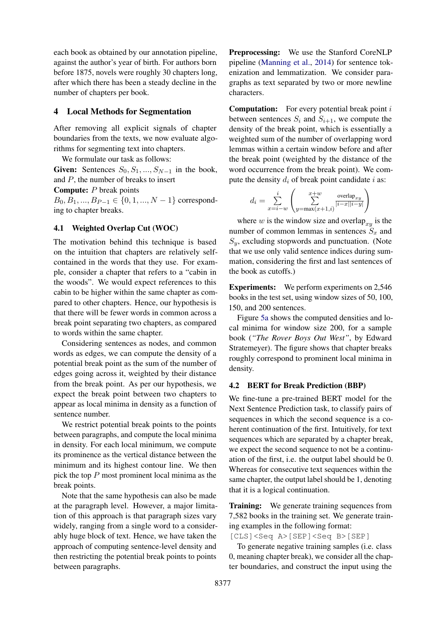each book as obtained by our annotation pipeline, against the author's year of birth. For authors born before 1875, novels were roughly 30 chapters long, after which there has been a steady decline in the number of chapters per book.

### 4 Local Methods for Segmentation

After removing all explicit signals of chapter boundaries from the texts, we now evaluate algorithms for segmenting text into chapters.

We formulate our task as follows:

Given: Sentences  $S_0, S_1, ..., S_{N-1}$  in the book, and  $P$ , the number of breaks to insert

#### Compute: P break points

 $B_0, B_1, ..., B_{P-1} \in \{0, 1, ..., N-1\}$  corresponding to chapter breaks.

### 4.1 Weighted Overlap Cut (WOC)

The motivation behind this technique is based on the intuition that chapters are relatively selfcontained in the words that they use. For example, consider a chapter that refers to a "cabin in the woods". We would expect references to this cabin to be higher within the same chapter as compared to other chapters. Hence, our hypothesis is that there will be fewer words in common across a break point separating two chapters, as compared to words within the same chapter.

Considering sentences as nodes, and common words as edges, we can compute the density of a potential break point as the sum of the number of edges going across it, weighted by their distance from the break point. As per our hypothesis, we expect the break point between two chapters to appear as local minima in density as a function of sentence number.

We restrict potential break points to the points between paragraphs, and compute the local minima in density. For each local minimum, we compute its prominence as the vertical distance between the minimum and its highest contour line. We then pick the top P most prominent local minima as the break points.

Note that the same hypothesis can also be made at the paragraph level. However, a major limitation of this approach is that paragraph sizes vary widely, ranging from a single word to a considerably huge block of text. Hence, we have taken the approach of computing sentence-level density and then restricting the potential break points to points between paragraphs.

Preprocessing: We use the Stanford CoreNLP pipeline [\(Manning et al.,](#page-9-19) [2014\)](#page-9-19) for sentence tokenization and lemmatization. We consider paragraphs as text separated by two or more newline characters.

**Computation:** For every potential break point  $i$ between sentences  $S_i$  and  $S_{i+1}$ , we compute the density of the break point, which is essentially a weighted sum of the number of overlapping word lemmas within a certain window before and after the break point (weighted by the distance of the word occurrence from the break point). We compute the density  $d_i$  of break point candidate i as:

$$
d_i = \sum_{x=i-w}^{i} \left( \sum_{y=\max(x+1,i)}^{x+w} \frac{\text{overlap}_{xy}}{|i-x||i-y|} \right)
$$

where w is the window size and overlap<sub>xy</sub> is the number of common lemmas in sentences  $S_x$  and  $S_y$ , excluding stopwords and punctuation. (Note that we use only valid sentence indices during summation, considering the first and last sentences of the book as cutoffs.)

Experiments: We perform experiments on 2,546 books in the test set, using window sizes of 50, 100, 150, and 200 sentences.

Figure [5a](#page-5-0) shows the computed densities and local minima for window size 200, for a sample book (*"The Rover Boys Out West"*, by Edward Stratemeyer). The figure shows that chapter breaks roughly correspond to prominent local minima in density.

#### 4.2 BERT for Break Prediction (BBP)

We fine-tune a pre-trained BERT model for the Next Sentence Prediction task, to classify pairs of sequences in which the second sequence is a coherent continuation of the first. Intuitively, for text sequences which are separated by a chapter break, we expect the second sequence to not be a continuation of the first, i.e. the output label should be 0. Whereas for consecutive text sequences within the same chapter, the output label should be 1, denoting that it is a logical continuation.

Training: We generate training sequences from 7,582 books in the training set. We generate training examples in the following format:

[CLS]<Seq A>[SEP]<Seq B>[SEP]

To generate negative training samples (i.e. class 0, meaning chapter break), we consider all the chapter boundaries, and construct the input using the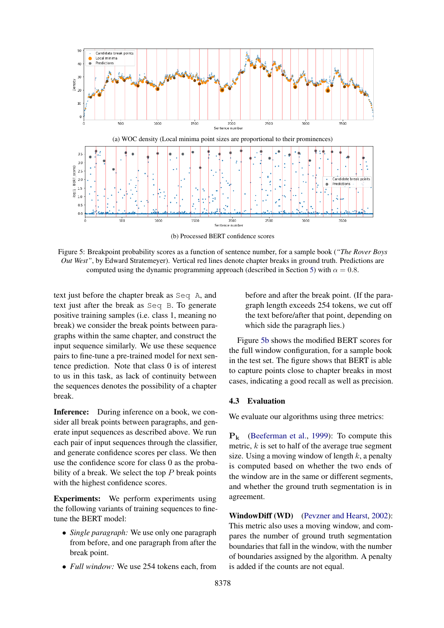<span id="page-5-0"></span>

(b) Processed BERT confidence scores

Figure 5: Breakpoint probability scores as a function of sentence number, for a sample book (*"The Rover Boys Out West"*, by Edward Stratemeyer). Vertical red lines denote chapter breaks in ground truth. Predictions are computed using the dynamic programming approach (described in Section [5\)](#page-6-0) with  $\alpha = 0.8$ .

text just before the chapter break as Seq A, and text just after the break as Seq B. To generate positive training samples (i.e. class 1, meaning no break) we consider the break points between paragraphs within the same chapter, and construct the input sequence similarly. We use these sequence pairs to fine-tune a pre-trained model for next sentence prediction. Note that class 0 is of interest to us in this task, as lack of continuity between the sequences denotes the possibility of a chapter break.

Inference: During inference on a book, we consider all break points between paragraphs, and generate input sequences as described above. We run each pair of input sequences through the classifier, and generate confidence scores per class. We then use the confidence score for class 0 as the probability of a break. We select the top  $P$  break points with the highest confidence scores.

Experiments: We perform experiments using the following variants of training sequences to finetune the BERT model:

- *Single paragraph:* We use only one paragraph from before, and one paragraph from after the break point.
- *Full window:* We use 254 tokens each, from

before and after the break point. (If the paragraph length exceeds 254 tokens, we cut off the text before/after that point, depending on which side the paragraph lies.)

Figure [5b](#page-5-0) shows the modified BERT scores for the full window configuration, for a sample book in the test set. The figure shows that BERT is able to capture points close to chapter breaks in most cases, indicating a good recall as well as precision.

#### 4.3 Evaluation

We evaluate our algorithms using three metrics:

 $P_k$  [\(Beeferman et al.,](#page-9-1) [1999\)](#page-9-1): To compute this metric,  $k$  is set to half of the average true segment size. Using a moving window of length  $k$ , a penalty is computed based on whether the two ends of the window are in the same or different segments, and whether the ground truth segmentation is in agreement.

WindowDiff (WD) [\(Pevzner and Hearst,](#page-9-20) [2002\)](#page-9-20): This metric also uses a moving window, and compares the number of ground truth segmentation boundaries that fall in the window, with the number of boundaries assigned by the algorithm. A penalty is added if the counts are not equal.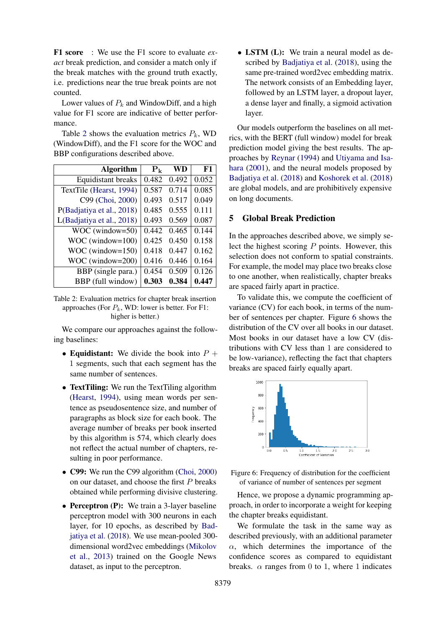F1 score : We use the F1 score to evaluate *exact* break prediction, and consider a match only if the break matches with the ground truth exactly, i.e. predictions near the true break points are not counted.

Lower values of  $P_k$  and WindowDiff, and a high value for F1 score are indicative of better performance.

Table [2](#page-6-1) shows the evaluation metrics  $P_k$ , WD (WindowDiff), and the F1 score for the WOC and BBP configurations described above.

<span id="page-6-1"></span>

| <b>Algorithm</b>          | $P_k$ | WD    | F1    |
|---------------------------|-------|-------|-------|
| <b>Equidistant breaks</b> | 0.482 | 0.492 | 0.052 |
| TextTile (Hearst, 1994)   | 0.587 | 0.714 | 0.085 |
| C99 (Choi, 2000)          | 0.493 | 0.517 | 0.049 |
| P(Badjatiya et al., 2018) | 0.485 | 0.555 | 0.111 |
| L(Badjatiya et al., 2018) | 0.493 | 0.569 | 0.087 |
| WOC (window=50)           | 0.442 | 0.465 | 0.144 |
| $WOC$ (window= $100$ )    | 0.425 | 0.450 | 0.158 |
| $WOC$ (window= $150$ )    | 0.418 | 0.447 | 0.162 |
| WOC (window=200)          | 0.416 | 0.446 | 0.164 |
| BBP (single para.)        | 0.454 | 0.509 | 0.126 |
| BBP (full window)         | 0.303 | 0.384 | 0.447 |

Table 2: Evaluation metrics for chapter break insertion approaches (For  $P_k$ , WD: lower is better. For F1: higher is better.)

We compare our approaches against the following baselines:

- Equidistant: We divide the book into  $P +$ 1 segments, such that each segment has the same number of sentences.
- TextTiling: We run the TextTiling algorithm [\(Hearst,](#page-9-0) [1994\)](#page-9-0), using mean words per sentence as pseudosentence size, and number of paragraphs as block size for each book. The average number of breaks per book inserted by this algorithm is 574, which clearly does not reflect the actual number of chapters, resulting in poor performance.
- C99: We run the C99 algorithm [\(Choi,](#page-9-9) [2000\)](#page-9-9) on our dataset, and choose the first P breaks obtained while performing divisive clustering.
- Perceptron (P): We train a 3-layer baseline perceptron model with 300 neurons in each layer, for 10 epochs, as described by [Bad](#page-9-18)[jatiya et al.](#page-9-18) [\(2018\)](#page-9-18). We use mean-pooled 300 dimensional word2vec embeddings [\(Mikolov](#page-9-21) [et al.,](#page-9-21) [2013\)](#page-9-21) trained on the Google News dataset, as input to the perceptron.

• LSTM (L): We train a neural model as described by [Badjatiya et al.](#page-9-18) [\(2018\)](#page-9-18), using the same pre-trained word2vec embedding matrix. The network consists of an Embedding layer, followed by an LSTM layer, a dropout layer, a dense layer and finally, a sigmoid activation layer.

Our models outperform the baselines on all metrics, with the BERT (full window) model for break prediction model giving the best results. The approaches by [Reynar](#page-10-1) [\(1994\)](#page-10-1) and [Utiyama and Isa](#page-10-3)[hara](#page-10-3) [\(2001\)](#page-10-3), and the neural models proposed by [Badjatiya et al.](#page-9-18) [\(2018\)](#page-9-18) and [Koshorek et al.](#page-9-17) [\(2018\)](#page-9-17) are global models, and are prohibitively expensive on long documents.

# <span id="page-6-0"></span>5 Global Break Prediction

In the approaches described above, we simply select the highest scoring  $P$  points. However, this selection does not conform to spatial constraints. For example, the model may place two breaks close to one another, when realistically, chapter breaks are spaced fairly apart in practice.

To validate this, we compute the coefficient of variance (CV) for each book, in terms of the number of sentences per chapter. Figure [6](#page-6-2) shows the distribution of the CV over all books in our dataset. Most books in our dataset have a low CV (distributions with CV less than 1 are considered to be low-variance), reflecting the fact that chapters breaks are spaced fairly equally apart.

<span id="page-6-2"></span>

Figure 6: Frequency of distribution for the coefficient of variance of number of sentences per segment

Hence, we propose a dynamic programming approach, in order to incorporate a weight for keeping the chapter breaks equidistant.

We formulate the task in the same way as described previously, with an additional parameter  $\alpha$ , which determines the importance of the confidence scores as compared to equidistant breaks.  $\alpha$  ranges from 0 to 1, where 1 indicates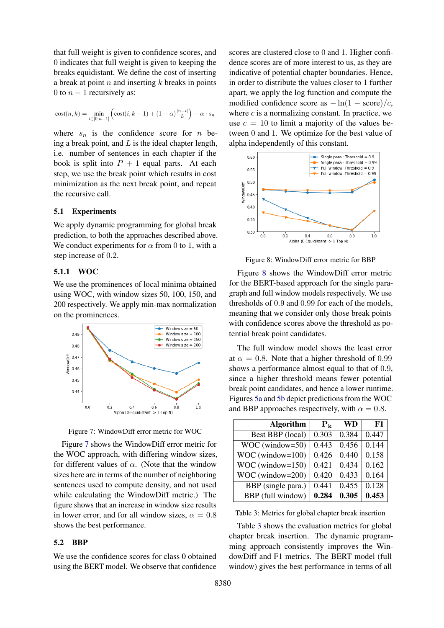that full weight is given to confidence scores, and 0 indicates that full weight is given to keeping the breaks equidistant. We define the cost of inserting a break at point  $n$  and inserting  $k$  breaks in points 0 to  $n - 1$  recursively as:

$$
\mathrm{cost}(n, k) = \min_{i \in [0, n-1]} \left( \mathrm{cost}(i, k-1) + (1-\alpha) \frac{|n-i|}{L} \right) - \alpha \cdot s_n
$$

where  $s_n$  is the confidence score for *n* being a break point, and  $L$  is the ideal chapter length, i.e. number of sentences in each chapter if the book is split into  $P + 1$  equal parts. At each step, we use the break point which results in cost minimization as the next break point, and repeat the recursive call.

# 5.1 Experiments

We apply dynamic programming for global break prediction, to both the approaches described above. We conduct experiments for  $\alpha$  from 0 to 1, with a step increase of 0.2.

#### 5.1.1 WOC

We use the prominences of local minima obtained using WOC, with window sizes 50, 100, 150, and 200 respectively. We apply min-max normalization on the prominences.

<span id="page-7-0"></span>

Figure 7: WindowDiff error metric for WOC

Figure [7](#page-7-0) shows the WindowDiff error metric for the WOC approach, with differing window sizes, for different values of  $\alpha$ . (Note that the window sizes here are in terms of the number of neighboring sentences used to compute density, and not used while calculating the WindowDiff metric.) The figure shows that an increase in window size results in lower error, and for all window sizes,  $\alpha = 0.8$ shows the best performance.

# 5.2 BBP

We use the confidence scores for class 0 obtained using the BERT model. We observe that confidence

scores are clustered close to 0 and 1. Higher confidence scores are of more interest to us, as they are indicative of potential chapter boundaries. Hence, in order to distribute the values closer to 1 further apart, we apply the log function and compute the modified confidence score as  $-\ln(1 - \text{score})/c$ , where  $c$  is a normalizing constant. In practice, we use  $c = 10$  to limit a majority of the values between 0 and 1. We optimize for the best value of alpha independently of this constant.

<span id="page-7-1"></span>

Figure 8: WindowDiff error metric for BBP

Figure [8](#page-7-1) shows the WindowDiff error metric for the BERT-based approach for the single paragraph and full window models respectively. We use thresholds of 0.9 and 0.99 for each of the models, meaning that we consider only those break points with confidence scores above the threshold as potential break point candidates.

The full window model shows the least error at  $\alpha = 0.8$ . Note that a higher threshold of 0.99 shows a performance almost equal to that of 0.9, since a higher threshold means fewer potential break point candidates, and hence a lower runtime. Figures [5a](#page-5-0) and [5b](#page-5-0) depict predictions from the WOC and BBP approaches respectively, with  $\alpha = 0.8$ .

<span id="page-7-2"></span>

| <b>Algorithm</b>       | $P_k$ | WD    | F1    |
|------------------------|-------|-------|-------|
| Best BBP (local)       | 0.303 | 0.384 | 0.447 |
| WOC (window=50)        | 0.443 | 0.456 | 0.144 |
| $WOC$ (window= $100$ ) | 0.426 | 0.440 | 0.158 |
| $WOC$ (window= $150$ ) | 0.421 | 0.434 | 0.162 |
| WOC (window=200)       | 0.420 | 0.433 | 0.164 |
| BBP (single para.)     | 0.441 | 0.455 | 0.128 |
| BBP (full window)      | 0.284 | 0.305 | 0.453 |

Table 3: Metrics for global chapter break insertion

Table [3](#page-7-2) shows the evaluation metrics for global chapter break insertion. The dynamic programming approach consistently improves the WindowDiff and F1 metrics. The BERT model (full window) gives the best performance in terms of all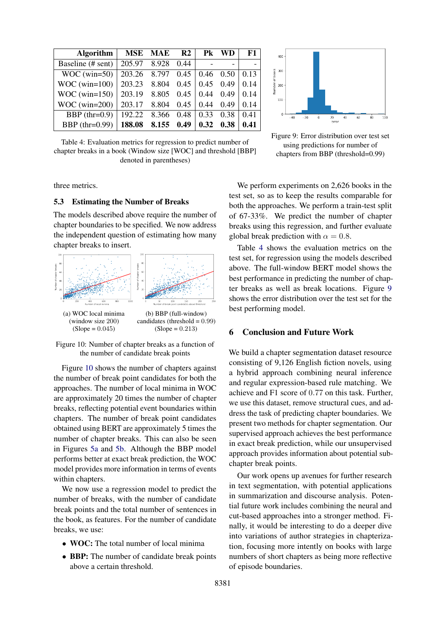<span id="page-8-1"></span>

| <b>Algorithm</b>  |              | MSE MAE | R <sub>2</sub> | Pk   | WD   | F1   |
|-------------------|--------------|---------|----------------|------|------|------|
| Baseline (# sent) | 205.97       | 8.928   | 0.44           |      |      |      |
| $WOC$ (win=50)    | 203.26 8.797 |         | 0.45           | 0.46 | 0.50 | 0.13 |
| $WOC$ (win=100)   | 203.23       | 8.804   | 0.45           | 0.45 | 0.49 | 0.14 |
| $WOC$ (win=150)   | 203.19       | 8.805   | 0.45           | 0.44 | 0.49 | 0.14 |
| $WOC$ (win=200)   | 203.17       | 8.804   | 0.45           | 0.44 | 0.49 | 0.14 |
| BBP $(thr=0.9)$   | 192.22       | 8.366   | 0.48           | 0.33 | 0.38 | 0.41 |
| BBP $(thr=0.99)$  | 188.08       | 8.155   | 0.49           | 0.32 | 0.38 | 0.41 |

Table 4: Evaluation metrics for regression to predict number of chapter breaks in a book (Window size [WOC] and threshold [BBP] denoted in parentheses)

three metrics.

#### 5.3 Estimating the Number of Breaks

The models described above require the number of chapter boundaries to be specified. We now address the independent question of estimating how many chapter breaks to insert.

<span id="page-8-0"></span>

Figure 10: Number of chapter breaks as a function of the number of candidate break points

Figure [10](#page-8-0) shows the number of chapters against the number of break point candidates for both the approaches. The number of local minima in WOC are approximately 20 times the number of chapter breaks, reflecting potential event boundaries within chapters. The number of break point candidates obtained using BERT are approximately 5 times the number of chapter breaks. This can also be seen in Figures [5a](#page-5-0) and [5b.](#page-5-0) Although the BBP model performs better at exact break prediction, the WOC model provides more information in terms of events within chapters.

We now use a regression model to predict the number of breaks, with the number of candidate break points and the total number of sentences in the book, as features. For the number of candidate breaks, we use:

- **WOC:** The total number of local minima
- **BBP:** The number of candidate break points above a certain threshold.



Figure 9: Error distribution over test set using predictions for number of chapters from BBP (threshold=0.99)

We perform experiments on 2,626 books in the test set, so as to keep the results comparable for both the approaches. We perform a train-test split of 67-33%. We predict the number of chapter breaks using this regression, and further evaluate global break prediction with  $\alpha = 0.8$ .

Table [4](#page-8-1) shows the evaluation metrics on the test set, for regression using the models described above. The full-window BERT model shows the best performance in predicting the number of chapter breaks as well as break locations. Figure [9](#page-8-1) shows the error distribution over the test set for the best performing model.

# 6 Conclusion and Future Work

We build a chapter segmentation dataset resource consisting of 9,126 English fiction novels, using a hybrid approach combining neural inference and regular expression-based rule matching. We achieve and F1 score of 0.77 on this task. Further, we use this dataset, remove structural cues, and address the task of predicting chapter boundaries. We present two methods for chapter segmentation. Our supervised approach achieves the best performance in exact break prediction, while our unsupervised approach provides information about potential subchapter break points.

Our work opens up avenues for further research in text segmentation, with potential applications in summarization and discourse analysis. Potential future work includes combining the neural and cut-based approaches into a stronger method. Finally, it would be interesting to do a deeper dive into variations of author strategies in chapterization, focusing more intently on books with large numbers of short chapters as being more reflective of episode boundaries.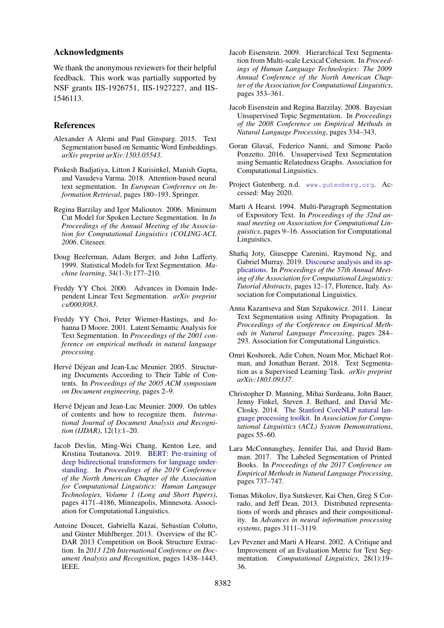### Acknowledgments

We thank the anonymous reviewers for their helpful feedback. This work was partially supported by NSF grants IIS-1926751, IIS-1927227, and IIS-1546113.

### References

- <span id="page-9-15"></span>Alexander A Alemi and Paul Ginsparg. 2015. Text Segmentation based on Semantic Word Embeddings. *arXiv preprint arXiv:1503.05543*.
- <span id="page-9-18"></span>Pinkesh Badjatiya, Litton J Kurisinkel, Manish Gupta, and Vasudeva Varma. 2018. Attention-based neural text segmentation. In *European Conference on Information Retrieval*, pages 180–193. Springer.
- <span id="page-9-11"></span>Regina Barzilay and Igor Malioutov. 2006. Minimum Cut Model for Spoken Lecture Segmentation. In *In Proceedings of the Annual Meeting of the Association for Computational Linguistics (COLING-ACL 2006*. Citeseer.
- <span id="page-9-1"></span>Doug Beeferman, Adam Berger, and John Lafferty. 1999. Statistical Models for Text Segmentation. *Machine learning*, 34(1-3):177–210.
- <span id="page-9-9"></span>Freddy YY Choi. 2000. Advances in Domain Independent Linear Text Segmentation. *arXiv preprint cs/0003083*.
- <span id="page-9-10"></span>Freddy YY Choi, Peter Wiemer-Hastings, and Johanna D Moore. 2001. Latent Semantic Analysis for Text Segmentation. In *Proceedings of the 2001 conference on empirical methods in natural language processing*.
- <span id="page-9-7"></span>Hervé Déjean and Jean-Luc Meunier. 2005. Structuring Documents According to Their Table of Contents. In *Proceedings of the 2005 ACM symposium on Document engineering*, pages 2–9.
- <span id="page-9-8"></span>Hervé Déjean and Jean-Luc Meunier. 2009. On tables of contents and how to recognize them. *International Journal of Document Analysis and Recognition (IJDAR)*, 12(1):1–20.
- <span id="page-9-4"></span>Jacob Devlin, Ming-Wei Chang, Kenton Lee, and Kristina Toutanova. 2019. [BERT: Pre-training of](https://doi.org/10.18653/v1/N19-1423) [deep bidirectional transformers for language under](https://doi.org/10.18653/v1/N19-1423)[standing.](https://doi.org/10.18653/v1/N19-1423) In *Proceedings of the 2019 Conference of the North American Chapter of the Association for Computational Linguistics: Human Language Technologies, Volume 1 (Long and Short Papers)*, pages 4171–4186, Minneapolis, Minnesota. Association for Computational Linguistics.
- <span id="page-9-6"></span>Antoine Doucet, Gabriella Kazai, Sebastian Colutto, and Günter Mühlberger. 2013. Overview of the IC-DAR 2013 Competition on Book Structure Extraction. In *2013 12th International Conference on Document Analysis and Recognition*, pages 1438–1443. IEEE.
- <span id="page-9-13"></span>Jacob Eisenstein. 2009. Hierarchical Text Segmentation from Multi-scale Lexical Cohesion. In *Proceedings of Human Language Technologies: The 2009 Annual Conference of the North American Chapter of the Association for Computational Linguistics*, pages 353–361.
- <span id="page-9-12"></span>Jacob Eisenstein and Regina Barzilay. 2008. Bayesian Unsupervised Topic Segmentation. In *Proceedings of the 2008 Conference on Empirical Methods in Natural Language Processing*, pages 334–343.
- <span id="page-9-16"></span>Goran Glavaš, Federico Nanni, and Simone Paolo Ponzetto. 2016. Unsupervised Text Segmentation using Semantic Relatedness Graphs. Association for Computational Linguistics.
- <span id="page-9-3"></span>Project Gutenberg. n.d. <www.gutenberg.org>. Accessed: May 2020.
- <span id="page-9-0"></span>Marti A Hearst. 1994. Multi-Paragraph Segmentation of Expository Text. In *Proceedings of the 32nd annual meeting on Association for Computational Linguistics*, pages 9–16. Association for Computational Linguistics.
- <span id="page-9-2"></span>Shafiq Joty, Giuseppe Carenini, Raymond Ng, and Gabriel Murray. 2019. [Discourse analysis and its ap](https://doi.org/10.18653/v1/P19-4003)[plications.](https://doi.org/10.18653/v1/P19-4003) In *Proceedings of the 57th Annual Meeting of the Association for Computational Linguistics: Tutorial Abstracts*, pages 12–17, Florence, Italy. Association for Computational Linguistics.
- <span id="page-9-14"></span>Anna Kazantseva and Stan Szpakowicz. 2011. Linear Text Segmentation using Affinity Propagation. In *Proceedings of the Conference on Empirical Methods in Natural Language Processing*, pages 284– 293. Association for Computational Linguistics.
- <span id="page-9-17"></span>Omri Koshorek, Adir Cohen, Noam Mor, Michael Rotman, and Jonathan Berant. 2018. Text Segmentation as a Supervised Learning Task. *arXiv preprint arXiv:1803.09337*.
- <span id="page-9-19"></span>Christopher D. Manning, Mihai Surdeanu, John Bauer, Jenny Finkel, Steven J. Bethard, and David Mc-Closky. 2014. [The Stanford CoreNLP natural lan](http://www.aclweb.org/anthology/P/P14/P14-5010)[guage processing toolkit.](http://www.aclweb.org/anthology/P/P14/P14-5010) In *Association for Computational Linguistics (ACL) System Demonstrations*, pages 55–60.
- <span id="page-9-5"></span>Lara McConnaughey, Jennifer Dai, and David Bamman. 2017. The Labeled Segmentation of Printed Books. In *Proceedings of the 2017 Conference on Empirical Methods in Natural Language Processing*, pages 737–747.
- <span id="page-9-21"></span>Tomas Mikolov, Ilya Sutskever, Kai Chen, Greg S Corrado, and Jeff Dean. 2013. Distributed representations of words and phrases and their compositionality. In *Advances in neural information processing systems*, pages 3111–3119.
- <span id="page-9-20"></span>Lev Pevzner and Marti A Hearst. 2002. A Critique and Improvement of an Evaluation Metric for Text Segmentation. *Computational Linguistics*, 28(1):19– 36.